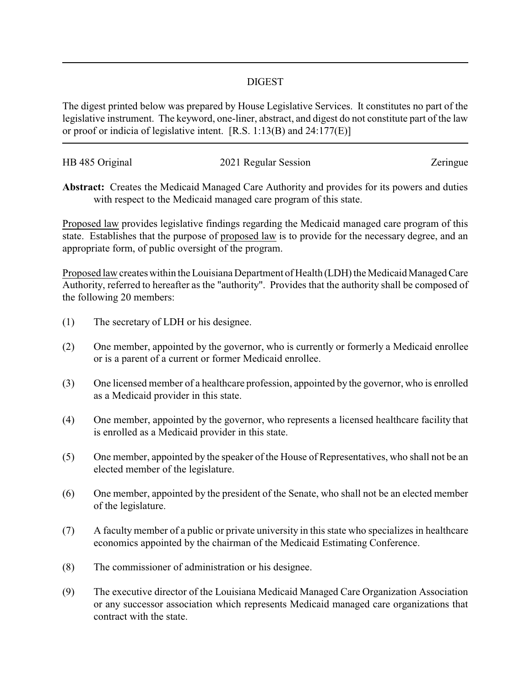## DIGEST

The digest printed below was prepared by House Legislative Services. It constitutes no part of the legislative instrument. The keyword, one-liner, abstract, and digest do not constitute part of the law or proof or indicia of legislative intent. [R.S. 1:13(B) and 24:177(E)]

| HB 485 Original | 2021 Regular Session | Zeringue |
|-----------------|----------------------|----------|
|                 |                      |          |

**Abstract:** Creates the Medicaid Managed Care Authority and provides for its powers and duties with respect to the Medicaid managed care program of this state.

Proposed law provides legislative findings regarding the Medicaid managed care program of this state. Establishes that the purpose of proposed law is to provide for the necessary degree, and an appropriate form, of public oversight of the program.

Proposed law creates within the Louisiana Department of Health (LDH) the Medicaid Managed Care Authority, referred to hereafter as the "authority". Provides that the authority shall be composed of the following 20 members:

- (1) The secretary of LDH or his designee.
- (2) One member, appointed by the governor, who is currently or formerly a Medicaid enrollee or is a parent of a current or former Medicaid enrollee.
- (3) One licensed member of a healthcare profession, appointed by the governor, who is enrolled as a Medicaid provider in this state.
- (4) One member, appointed by the governor, who represents a licensed healthcare facility that is enrolled as a Medicaid provider in this state.
- (5) One member, appointed by the speaker of the House of Representatives, who shall not be an elected member of the legislature.
- (6) One member, appointed by the president of the Senate, who shall not be an elected member of the legislature.
- (7) A faculty member of a public or private university in this state who specializes in healthcare economics appointed by the chairman of the Medicaid Estimating Conference.
- (8) The commissioner of administration or his designee.
- (9) The executive director of the Louisiana Medicaid Managed Care Organization Association or any successor association which represents Medicaid managed care organizations that contract with the state.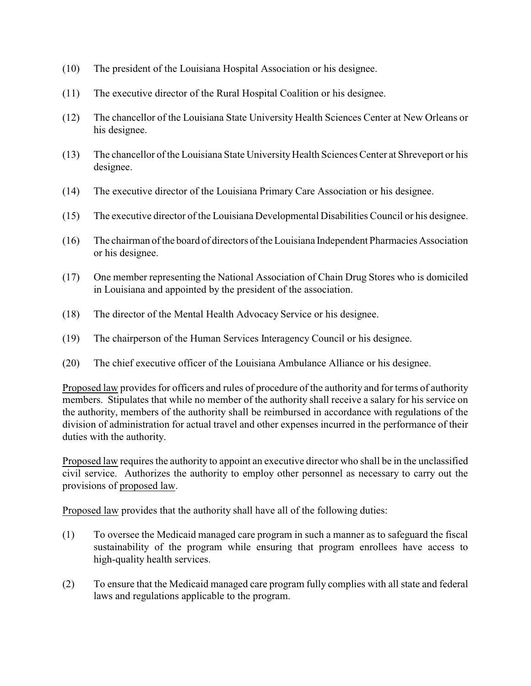- (10) The president of the Louisiana Hospital Association or his designee.
- (11) The executive director of the Rural Hospital Coalition or his designee.
- (12) The chancellor of the Louisiana State University Health Sciences Center at New Orleans or his designee.
- (13) The chancellor of the Louisiana State UniversityHealth Sciences Center at Shreveport or his designee.
- (14) The executive director of the Louisiana Primary Care Association or his designee.
- (15) The executive director of the Louisiana Developmental Disabilities Council or his designee.
- (16) The chairman of the board of directors of the Louisiana Independent Pharmacies Association or his designee.
- (17) One member representing the National Association of Chain Drug Stores who is domiciled in Louisiana and appointed by the president of the association.
- (18) The director of the Mental Health Advocacy Service or his designee.
- (19) The chairperson of the Human Services Interagency Council or his designee.
- (20) The chief executive officer of the Louisiana Ambulance Alliance or his designee.

Proposed law provides for officers and rules of procedure of the authority and for terms of authority members. Stipulates that while no member of the authority shall receive a salary for his service on the authority, members of the authority shall be reimbursed in accordance with regulations of the division of administration for actual travel and other expenses incurred in the performance of their duties with the authority.

Proposed law requires the authority to appoint an executive director who shall be in the unclassified civil service. Authorizes the authority to employ other personnel as necessary to carry out the provisions of proposed law.

Proposed law provides that the authority shall have all of the following duties:

- (1) To oversee the Medicaid managed care program in such a manner as to safeguard the fiscal sustainability of the program while ensuring that program enrollees have access to high-quality health services.
- (2) To ensure that the Medicaid managed care program fully complies with all state and federal laws and regulations applicable to the program.